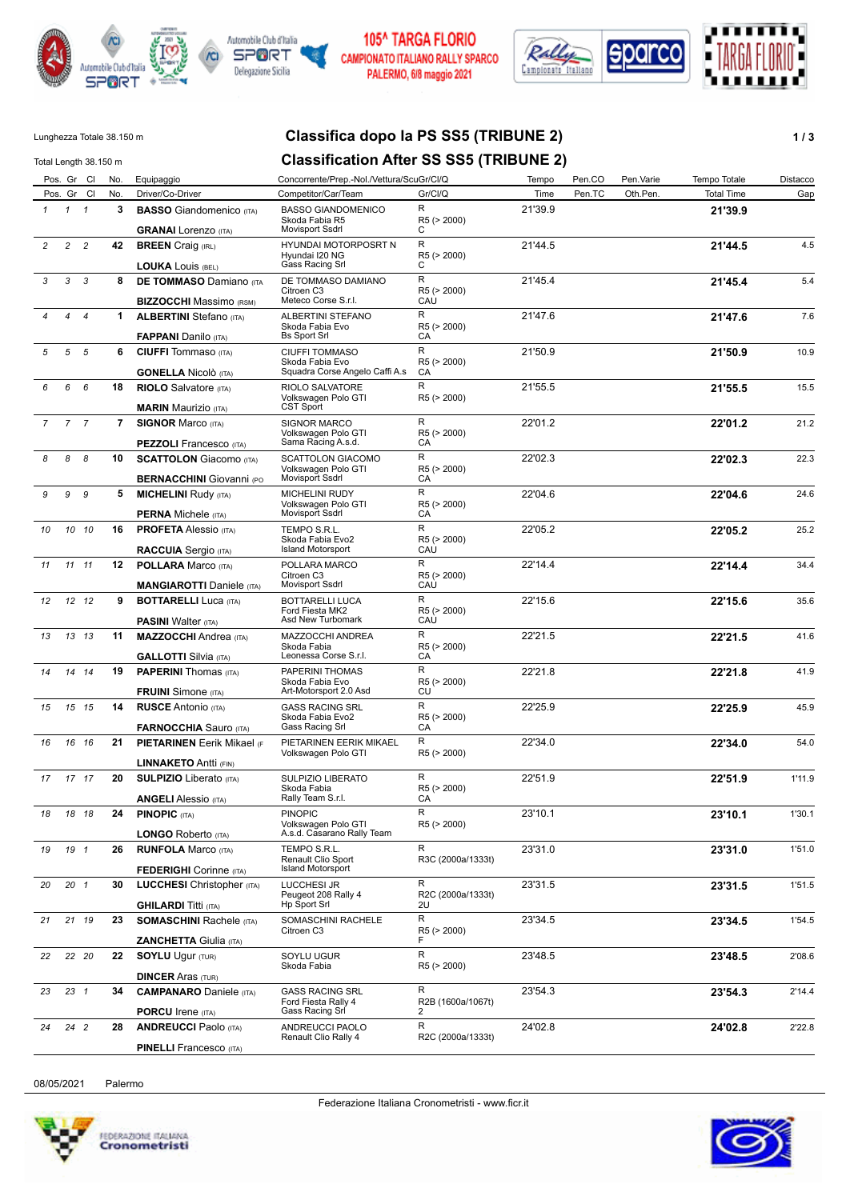



### **105^ TARGA FLORIO** CAMPIONATO ITALIANO RALLY SPARCO PALERMO, 6/8 maggio 2021



## Lunghezza Totale 38.150 m **Classifica dopo la PS SS5 (TRIBUNE 2) 1 / 3**

### Total Length 38.150 m **Classification After SS SS5 (TRIBUNE 2)** Pos. Gr Cl No. Equipaggio Concorrente/Prep.-Nol./Vettura/ScuGr/Cl/Q Tempo Pen.CO Pen.Varie Tempo Totale Distacco Pos. Gr Cl No. Driver/Co-Driver Competitor/Car/Team Gr/Cl/Q Time Pen.TC Oth.Pen. Total Time Gap *1* **3 BASSO** Giandomenico (ITA) **21'39.9** Skoda Fabia R5 Movisport Ssdrl *1 1* **GRANAI** Lorenzo (ITA) 21'39.9 R  $\Gamma$ R5 (> 2000) BASSO GIANDOMENICO *2* **42 BREEN** Craig (IRL) **21'44.5** 4.5 Hyundai I20 NG Gass Racing Srl *2 2* **LOUKA** Louis (BEL) 21'44.5 R  $\cap$ R5 (> 2000) HYUNDAI MOTORPOSRT N *3* **8 DE TOMMASO** Damiano (ITA **21'45.4** 5.4 Citroen C3 Meteco Corse S.r.l. *3 3* **BIZZOCCHI** Massimo (RSM) 21'45.4 R **CAU** R5 (> 2000) DE TOMMASO DAMIANO *4* **1 ALBERTINI** Stefano (ITA) **21'47.6** 7.6 Skoda Fabia Evo *4 4* **FAPPANI** Danilo (ITA) 21'47.6 Bs Sport Srl R CA R5 (> 2000) ALBERTINI STEFANO *5* **6 CIUFFI** Tommaso (ITA) **21'50.9** 10.9 Skoda Fabia Evo Squadra Corse Angelo Caffi A.s *5 5* **GONELLA** Nicolò (ITA) 21'50.9 R CA R5 (> 2000) CIUFFI TOMMASO *6* **18 RIOLO** Salvatore (ITA) **21'55.5** 15.5 Volkswagen Polo GTI CST Sport *6 6* **MARIN** Maurizio (ITA) 21'55.5 R R5 (> 2000) RIOLO SALVATORE *7* **7 SIGNOR** Marco (ITA) **22'01.2** 21.2 Volkswagen Polo GTI *7 7* **PEZZOLI** Francesco (ITA) 22'01.2 Sama Racing A.s.d.  $\overline{R}$  $\overline{C}$ A R5 (> 2000) SIGNOR MARCO *8* **10 SCATTOLON** Giacomo (ITA) **22'02.3** 22.3 Volkswagen Polo GTI *8 8* **BERNACCHINI** Giovanni (PO 22'02.3 Movisport Ssdrl  $\overline{R}$ CA R5 (> 2000) SCATTOLON GIACOMO *9* **5 MICHELINI** Rudy (ITA) **22'04.6** 24.6 Volkswagen Polo GTI Movisport Ssdrl *9 9* **PERNA** Michele (ITA) 22'04.6 R CA R5 (> 2000) MICHELINI RUDY *10* **16 PROFETA** Alessio (ITA) **22'05.2** 25.2 Skoda Fabia Evo2 Island Motorsport *10 10* **RACCUIA** Sergio (ITA) 22'05.2 R CAÙ R5 (> 2000) TEMPO S.R.L. *11* **12 POLLARA** Marco (ITA) **22'14.4** 34.4 Citroen C3 Movisport Ssdrl *11 11* **MANGIAROTTI** Daniele (ITA) 22'14.4 R CAU R5 (> 2000) POLLARA MARCO *12* **9 BOTTARELLI** Luca (ITA) **22'15.6** 35.6 Ford Fiesta MK2 *12 12* **PASINI** Walter (ITA) 22'15.6 Asd New Turbomark R **CAU** R5 (> 2000) BOTTARELLI LUCA *13* **11 MAZZOCCHI** Andrea (ITA) **22'21.5** 41.6 Skoda Fabia *13 13* **GALLOTTI** Silvia (ITA) 22'21.5 Leonessa Corse S.r.l. R CA R5 (> 2000) MAZZOCCHI ANDREA *14* **19 PAPERINI** Thomas (ITA) **22'21.8** 41.9 Skoda Fabia Evo *14 14* **FRUINI** Simone (ITA) 22'21.8 Art-Motorsport 2.0 Asd R **CU** R5 (> 2000) PAPERINI THOMAS *15* **14 RUSCE** Antonio (ITA) **22'25.9** 45.9 Skoda Fabia Evo2 *15 15* **FARNOCCHIA** Sauro (ITA) 22'25.9 Gass Racing Srl R CA R5 (> 2000) GASS RACING SRL 16 16 **21 PIETARINEN** Eerik Mikael (Ferik PIETARINEN EERIK MIKAEL Render 1992'34.0 1992'34.0 22'34.0 54.0 Volkswagen Polo GTI *16 16* **LINNAKETO** Antti (FIN) R 22'34.0 R5 (> 2000) *17* **20 SULPIZIO** Liberato (ITA) **22'51.9** 1'11.9 Skoda Fabia Rally Team S.r.l. *17 17* **ANGELI** Alessio (ITA) 22'51.9  $\overline{R}$ **CA** R5 (> 2000) SULPIZIO LIBERATO *18* **24 PINOPIC** (ITA) **23'10.1** 1'30.1 Volkswagen Polo GTI A.s.d. Casarano Rally Team *18 18* **LONGO** Roberto (ITA) 23'10.1  $\overline{R}$ R5 (> 2000) PINOPIC *19* **26 RUNFOLA** Marco (ITA) **23'31.0** 1'51.0 Renault Clio Sport Island Motorsport *19 1* **FEDERIGHI** Corinne (ITA) 23'31.0 R R3C (2000a/1333t) TEMPO S.R.L. *20* **30 LUCCHESI** Christopher (ITA) **23'31.5** 1'51.5 Peugeot 208 Rally 4 Hp Sport Srl *20 1* **GHILARDI** Titti (ITA) 23'31.5  $\overline{R}$ 2U R2C (2000a/1333t) LUCCHESI JR *21* **23 SOMASCHINI** Rachele (ITA) **23'34.5** 1'54.5 Citroen C3 *21 19* **ZANCHETTA** Giulia (ITA) R 23'34.5 F R5 (> 2000) SOMASCHINI RACHELE *22* **22 SOYLU** Ugur (TUR) **23'48.5** 2'08.6 Skoda Fabia *22 20* **DINCER** Aras (TUR) R 23'48.5 R5 (> 2000) SOYLU UGUR *23* **34 CAMPANARO** Daniele (ITA) **23'54.3** 2'14.4 Ford Fiesta Rally 4 Gass Racing Srl *23 1* **PORCU** Irene (ITA) 23'54.3 R 2 R2B (1600a/1067t) GASS RACING SRL *24* **28 ANDREUCCI** Paolo (ITA) **24'02.8** 2'22.8 R 24'02.8 ANDREUCCI PAOLO

08/05/2021 Palermo

*24 2*



**PINELLI** Francesco (ITA)

R2C (2000a/1333t)

Renault Clio Rally 4

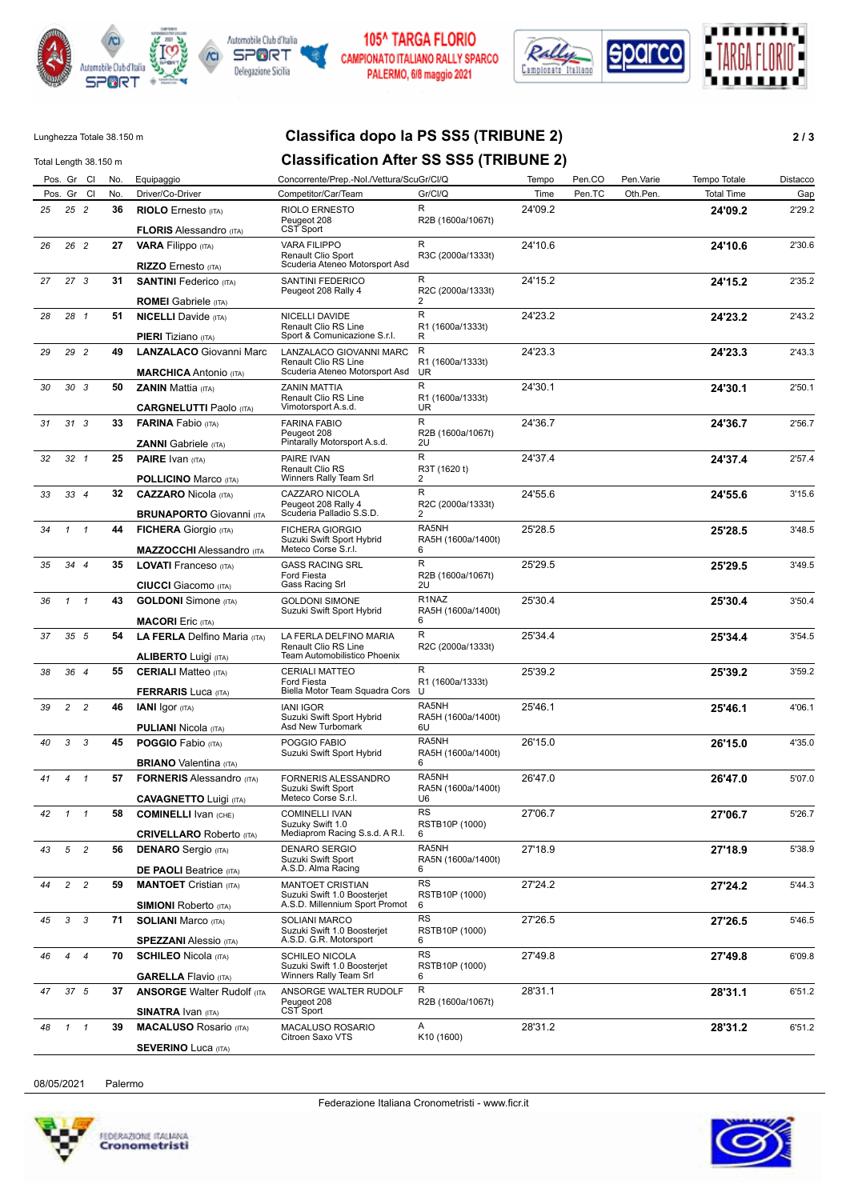



### 105^ TARGA FLORIO CAMPIONATO ITALIANO RALLY SPARCO PALERMO, 6/8 maggio 2021



# Lunghezza Totale 38.150 m **Classifica dopo la PS SS5 (TRIBUNE 2) 2 / 3**

| Total Length 38.150 m |                |                 |     |                                                                   | <b>Classification After SS SS5 (TRIBUNE 2)</b>                                           |                                               |         |        |           |                   |          |
|-----------------------|----------------|-----------------|-----|-------------------------------------------------------------------|------------------------------------------------------------------------------------------|-----------------------------------------------|---------|--------|-----------|-------------------|----------|
|                       |                | Pos. Gr Cl      | No. | Equipaggio                                                        | Concorrente/Prep.-Nol./Vettura/ScuGr/Cl/Q                                                |                                               | Tempo   | Pen.CO | Pen.Varie | Tempo Totale      | Distacco |
|                       |                | Pos. Gr Cl      | No. | Driver/Co-Driver                                                  | Competitor/Car/Team                                                                      | Gr/Cl/Q                                       | Time    | Pen.TC | Oth.Pen.  | <b>Total Time</b> | Gap      |
| 25                    |                | 25 2            | 36  | <b>RIOLO</b> Ernesto (ITA)<br><b>FLORIS Alessandro (ITA)</b>      | <b>RIOLO ERNESTO</b><br>Peugeot 208<br>CST Sport                                         | R<br>R2B (1600a/1067t)                        | 24'09.2 |        |           | 24'09.2           | 2'29.2   |
| 26                    |                | 26 2            | 27  | <b>VARA Filippo</b> (ITA)                                         | <b>VARA FILIPPO</b><br>Renault Clio Sport                                                | R<br>R3C (2000a/1333t)                        | 24'10.6 |        |           | 24'10.6           | 2'30.6   |
|                       |                |                 |     | RIZZO Ernesto (ITA)                                               | Scuderia Ateneo Motorsport Asd                                                           |                                               |         |        |           |                   |          |
| 27                    |                | 27 <sub>3</sub> | 31  | <b>SANTINI</b> Federico (ITA)<br><b>ROMEI</b> Gabriele (ITA)      | SANTINI FEDERICO<br>Peugeot 208 Rally 4                                                  | R<br>R2C (2000a/1333t)<br>2                   | 24'15.2 |        |           | 24'15.2           | 2'35.2   |
| 28                    |                | 28 1            | 51  | <b>NICELLI</b> Davide (ITA)                                       | NICELLI DAVIDE                                                                           | R                                             | 24'23.2 |        |           | 24'23.2           | 2'43.2   |
|                       |                |                 |     | <b>PIERI</b> Tiziano (ITA)                                        | Renault Clio RS Line<br>Sport & Comunicazione S.r.l.                                     | R1 (1600a/1333t)<br>R                         |         |        |           |                   |          |
| 29                    |                | 29 2            | 49  | <b>LANZALACO Giovanni Marc</b><br><b>MARCHICA</b> Antonio (ITA)   | LANZALACO GIOVANNI MARC<br>Renault Clio RS Line<br>Scuderia Ateneo Motorsport Asd        | R<br>R1 (1600a/1333t)<br><b>UR</b>            | 24'23.3 |        |           | 24'23.3           | 2'43.3   |
| 30                    |                | 30 <sub>3</sub> | 50  | <b>ZANIN Mattia (ITA)</b>                                         | <b>ZANIN MATTIA</b><br>Renault Clio RS Line<br>Vimotorsport A.s.d.                       | R<br>R1 (1600a/1333t)                         | 24'30.1 |        |           | 24'30.1           | 2'50.1   |
|                       |                |                 |     | <b>CARGNELUTTI Paolo (ITA)</b>                                    |                                                                                          | UR.                                           |         |        |           |                   |          |
| 31                    |                | 313             | 33  | <b>FARINA</b> Fabio (ITA)<br><b>ZANNI</b> Gabriele (ITA)          | <b>FARINA FABIO</b><br>Peugeot 208<br>Pintarally Motorsport A.s.d.                       | R<br>R2B (1600a/1067t)<br>2U                  | 24'36.7 |        |           | 24'36.7           | 2'56.7   |
| 32                    |                | $32 \quad 1$    | 25  | <b>PAIRE</b> Ivan (ITA)                                           | PAIRE IVAN                                                                               | R                                             | 24'37.4 |        |           | 24'37.4           | 2'57.4   |
|                       |                |                 |     | <b>POLLICINO Marco (ITA)</b>                                      | <b>Renault Clio RS</b><br>Winners Rally Team Srl                                         | R3T (1620 t)<br>2                             |         |        |           |                   |          |
| 33                    |                | 334             | 32  |                                                                   | CAZZARO NICOLA                                                                           | R                                             | 24'55.6 |        |           |                   | 3'15.6   |
|                       |                |                 |     | <b>CAZZARO</b> Nicola (ITA)                                       | Peugeot 208 Rally 4                                                                      | R2C (2000a/1333t)                             |         |        |           | 24'55.6           |          |
|                       |                |                 |     | <b>BRUNAPORTO Giovanni (ITA</b>                                   | Scuderia Palladio S.S.D.                                                                 | 2                                             |         |        |           |                   |          |
| 34                    | $\mathbf{1}$   | $\overline{1}$  | 44  | <b>FICHERA</b> Giorgio (ITA)<br><b>MAZZOCCHI</b> Alessandro (ITA  | <b>FICHERA GIORGIO</b><br>Suzuki Swift Sport Hybrid<br>Meteco Corse S.r.l.               | RA5NH<br>RA5H (1600a/1400t)<br>6              | 25'28.5 |        |           | 25'28.5           | 3'48.5   |
| 35                    |                | 34 4            | 35  | <b>LOVATI</b> Franceso (ITA)                                      | <b>GASS RACING SRL</b>                                                                   | R                                             | 25'29.5 |        |           | 25'29.5           | 3'49.5   |
|                       |                |                 |     | <b>CIUCCI</b> Giacomo (ITA)                                       | Ford Fiesta<br>Gass Racing Srl                                                           | R2B (1600a/1067t)<br>2U                       |         |        |           |                   |          |
| 36                    | $\mathbf{1}$   | $\overline{1}$  | 43  | <b>GOLDONI</b> Simone (ITA)<br><b>MACORI</b> Eric (ITA)           | <b>GOLDONI SIMONE</b><br>Suzuki Swift Sport Hybrid                                       | R <sub>1</sub> NAZ<br>RA5H (1600a/1400t)<br>6 | 25'30.4 |        |           | 25'30.4           | 3'50.4   |
| 37                    |                | 35 <sub>5</sub> | 54  | LA FERLA Delfino Maria (ITA)<br><b>ALIBERTO Luigi (ITA)</b>       | LA FERLA DELFINO MARIA<br>Renault Clio RS Line<br>Team Automobilistico Phoenix           | R<br>R2C (2000a/1333t)                        | 25'34.4 |        |           | 25'34.4           | 3'54.5   |
|                       |                |                 | 55  |                                                                   | <b>CERIALI MATTEO</b>                                                                    | R                                             | 25'39.2 |        |           |                   | 3'59.2   |
| 38                    |                | 364             |     | <b>CERIALI Matteo (ITA)</b><br><b>FERRARIS Luca (ITA)</b>         | Ford Fiesta<br>Biella Motor Team Squadra Cors                                            | R1 (1600a/1333t)<br>U                         |         |        |           | 25'39.2           |          |
| 39                    | $\overline{c}$ | $\overline{c}$  | 46  | <b>IANI</b> Igor (ITA)                                            | <b>IANI IGOR</b>                                                                         | RA5NH                                         | 25'46.1 |        |           | 25'46.1           | 4'06.1   |
|                       |                |                 |     | <b>PULIANI</b> Nicola (ITA)                                       | Suzuki Swift Sport Hybrid<br>Asd New Turbomark                                           | RA5H (1600a/1400t)<br>6U                      |         |        |           |                   |          |
| 40                    | 3              | 3               | 45  | <b>POGGIO</b> Fabio (ITA)                                         | POGGIO FABIO                                                                             | RA5NH                                         | 26'15.0 |        |           | 26'15.0           | 4'35.0   |
|                       |                |                 |     |                                                                   | Suzuki Swift Sport Hybrid                                                                | RA5H (1600a/1400t)                            |         |        |           |                   |          |
| 41                    | $\overline{4}$ | $\overline{1}$  | 57  | <b>BRIANO</b> Valentina (ITA)<br><b>FORNERIS Alessandro (ITA)</b> |                                                                                          | 6<br>RA5NH                                    | 26'47.0 |        |           |                   |          |
|                       |                |                 |     |                                                                   | FORNERIS ALESSANDRO<br>Suzuki Swift Sport                                                | RA5N (1600a/1400t)                            |         |        |           | 26'47.0           | 5'07.0   |
|                       |                |                 |     | <b>CAVAGNETTO Luigi (ITA)</b>                                     | Meteco Corse S.r.l.                                                                      | U6                                            |         |        |           |                   |          |
| 42                    | $\mathcal{I}$  | $\mathbf{1}$    | 58  | <b>COMINELLI IVAN (CHE)</b><br><b>CRIVELLARO</b> Roberto (ITA)    | <b>COMINELLI IVAN</b><br>Suzuky Swift 1.0<br>Mediaprom Racing S.s.d. A R.I.              | RS<br>RSTB10P (1000)<br>6                     | 27'06.7 |        |           | 27'06.7           | 5'26.7   |
| 43                    | 5              | $\overline{c}$  | 56  | <b>DENARO</b> Sergio (ITA)                                        | <b>DENARO SERGIO</b><br>Suzuki Swift Sport                                               | RA5NH<br>RA5N (1600a/1400t)                   | 27'18.9 |        |           | 27'18.9           | 5'38.9   |
|                       |                |                 |     | <b>DE PAOLI Beatrice (ITA)</b>                                    | A.S.D. Alma Racing                                                                       | 6                                             |         |        |           |                   |          |
| 44                    | $\mathbf{2}$   | $\overline{c}$  | 59  | <b>MANTOET</b> Cristian (ITA)<br><b>SIMIONI</b> Roberto (ITA)     | <b>MANTOET CRISTIAN</b><br>Suzuki Swift 1.0 Boosterjet<br>A.S.D. Millennium Sport Promot | <b>RS</b><br>RSTB10P (1000)<br>6              | 27'24.2 |        |           | 27'24.2           | 5'44.3   |
|                       |                |                 |     |                                                                   |                                                                                          | RS                                            | 27'26.5 |        |           |                   |          |
| 45                    | 3              | 3               | 71  | <b>SOLIANI Marco (ITA)</b><br><b>SPEZZANI</b> Alessio (ITA)       | <b>SOLIANI MARCO</b><br>Suzuki Swift 1.0 Boosterjet<br>A.S.D. G.R. Motorsport            | RSTB10P (1000)<br>6                           |         |        |           | 27'26.5           | 5'46.5   |
| 46                    | $\overline{4}$ | $\overline{4}$  | 70  | <b>SCHILEO Nicola (ITA)</b><br><b>GARELLA Flavio (ITA)</b>        | <b>SCHILEO NICOLA</b><br>Suzuki Swift 1.0 Boosterjet<br>Winners Rally Team Srl           | <b>RS</b><br>RSTB10P (1000)<br>6              | 27'49.8 |        |           | 27'49.8           | 6'09.8   |
| 47                    |                | 37 5            | 37  | <b>ANSORGE Walter Rudolf (ITA</b>                                 | ANSORGE WALTER RUDOLF                                                                    | R                                             | 28'31.1 |        |           | 28'31.1           | 6'51.2   |
|                       |                |                 |     | <b>SINATRA IVAN (ITA)</b>                                         | Peugeot 208<br>CST Sport                                                                 | R2B (1600a/1067t)                             |         |        |           |                   |          |
| 48                    | $\mathcal{I}$  | $\overline{1}$  | 39  | <b>MACALUSO Rosario (ITA)</b>                                     | MACALUSO ROSARIO                                                                         | Α                                             | 28'31.2 |        |           | 28'31.2           | 6'51.2   |
|                       |                |                 |     | <b>SEVERINO Luca (ITA)</b>                                        | Citroen Saxo VTS                                                                         | K <sub>10</sub> (1600)                        |         |        |           |                   |          |

08/05/2021 Palermo